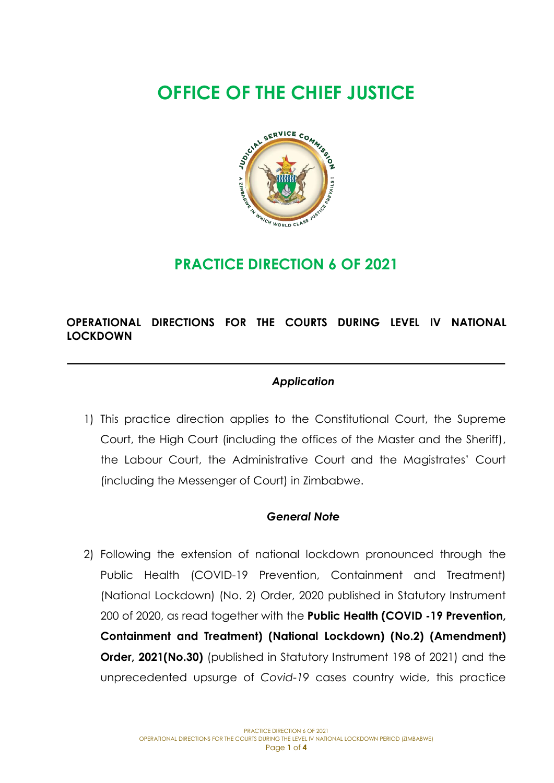# **OFFICE OF THE CHIEF JUSTICE**



# **PRACTICE DIRECTION 6 OF 2021**

# **OPERATIONAL DIRECTIONS FOR THE COURTS DURING LEVEL IV NATIONAL LOCKDOWN**

## *Application*

1) This practice direction applies to the Constitutional Court, the Supreme Court, the High Court (including the offices of the Master and the Sheriff), the Labour Court, the Administrative Court and the Magistrates' Court (including the Messenger of Court) in Zimbabwe.

#### *General Note*

2) Following the extension of national lockdown pronounced through the Public Health (COVID-19 Prevention, Containment and Treatment) (National Lockdown) (No. 2) Order, 2020 published in Statutory Instrument 200 of 2020, as read together with the **Public Health (COVID -19 Prevention, Containment and Treatment) (National Lockdown) (No.2) (Amendment) Order, 2021(No.30)** (published in Statutory Instrument 198 of 2021) and the unprecedented upsurge of *Covid-19* cases country wide, this practice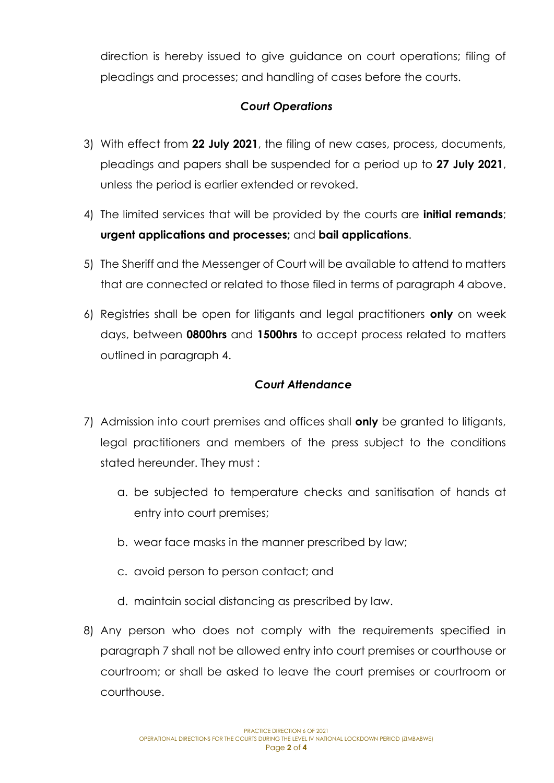direction is hereby issued to give guidance on court operations; filing of pleadings and processes; and handling of cases before the courts.

### *Court Operations*

- 3) With effect from **22 July 2021**, the filing of new cases, process, documents, pleadings and papers shall be suspended for a period up to **27 July 2021**, unless the period is earlier extended or revoked.
- 4) The limited services that will be provided by the courts are **initial remands**; **urgent applications and processes;** and **bail applications**.
- 5) The Sheriff and the Messenger of Court will be available to attend to matters that are connected or related to those filed in terms of paragraph 4 above.
- 6) Registries shall be open for litigants and legal practitioners **only** on week days, between **0800hrs** and **1500hrs** to accept process related to matters outlined in paragraph 4.

#### *Court Attendance*

- 7) Admission into court premises and offices shall **only** be granted to litigants, legal practitioners and members of the press subject to the conditions stated hereunder. They must :
	- a. be subjected to temperature checks and sanitisation of hands at entry into court premises;
	- b. wear face masks in the manner prescribed by law;
	- c. avoid person to person contact; and
	- d. maintain social distancing as prescribed by law.
- 8) Any person who does not comply with the requirements specified in paragraph 7 shall not be allowed entry into court premises or courthouse or courtroom; or shall be asked to leave the court premises or courtroom or courthouse.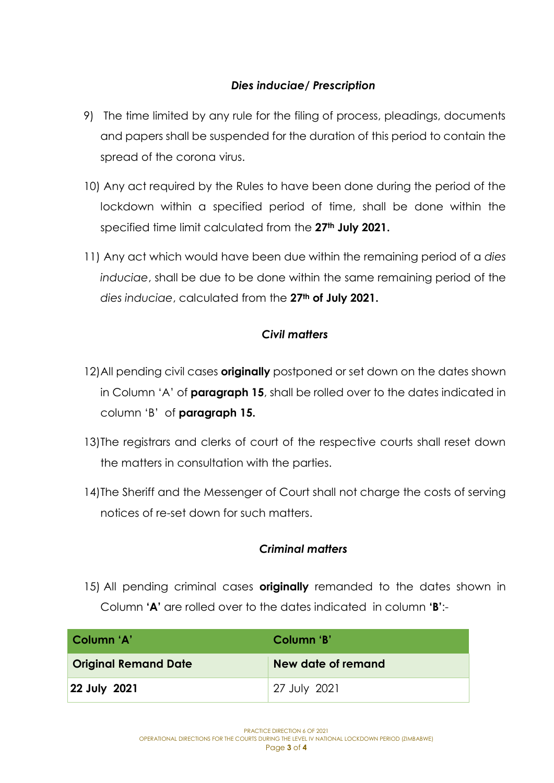#### *Dies induciae/ Prescription*

- 9) The time limited by any rule for the filing of process, pleadings, documents and papers shall be suspended for the duration of this period to contain the spread of the corona virus.
- 10) Any act required by the Rules to have been done during the period of the lockdown within a specified period of time, shall be done within the specified time limit calculated from the **27th July 2021.**
- 11) Any act which would have been due within the remaining period of a *dies induciae*, shall be due to be done within the same remaining period of the *dies induciae*, calculated from the **27th of July 2021.**

#### *Civil matters*

- 12)All pending civil cases **originally** postponed or set down on the dates shown in Column 'A' of **paragraph 15**, shall be rolled over to the dates indicated in column 'B' of **paragraph 15.**
- 13)The registrars and clerks of court of the respective courts shall reset down the matters in consultation with the parties.
- 14)The Sheriff and the Messenger of Court shall not charge the costs of serving notices of re-set down for such matters.

#### *Criminal matters*

15) All pending criminal cases **originally** remanded to the dates shown in Column **'A'** are rolled over to the dates indicated in column **'B'**:-

| Column 'A'                  | Column 'B'         |
|-----------------------------|--------------------|
| <b>Original Remand Date</b> | New date of remand |
| 22 July 2021                | 27 July 2021       |